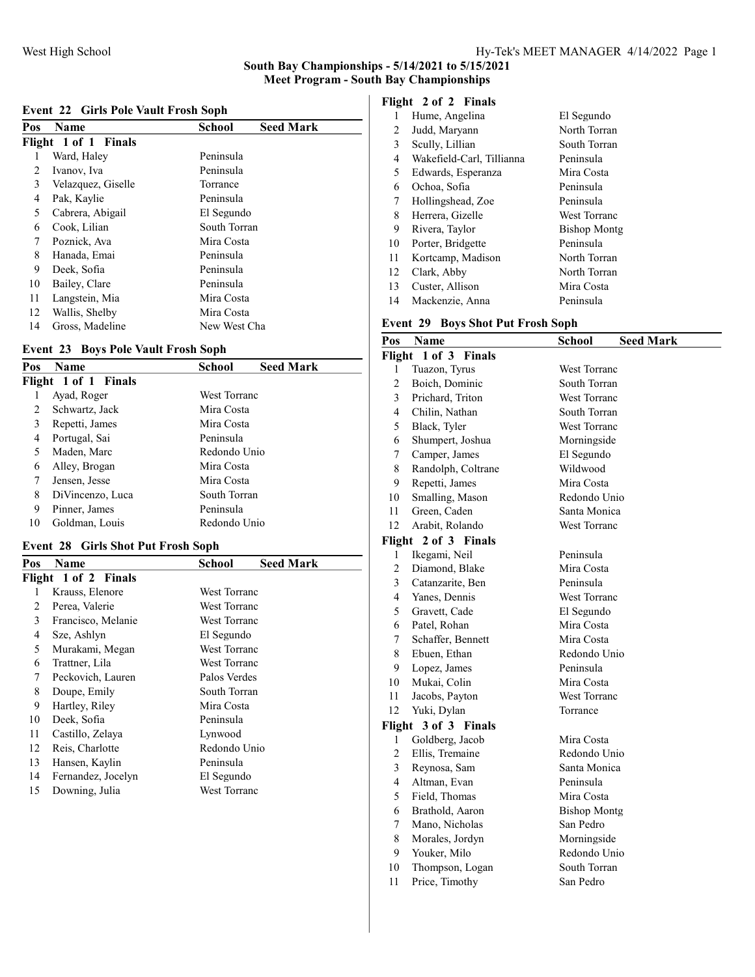| Event 22 Girls Pole Vault Frosh Soph |  |  |  |  |  |  |
|--------------------------------------|--|--|--|--|--|--|
|--------------------------------------|--|--|--|--|--|--|

| Pos | <b>Name</b>          | School<br><b>Seed Mark</b> |
|-----|----------------------|----------------------------|
|     | Flight 1 of 1 Finals |                            |
|     | Ward, Haley          | Peninsula                  |
| 2   | Ivanov, Iva          | Peninsula                  |
| 3   | Velazquez, Giselle   | Torrance                   |
| 4   | Pak, Kaylie          | Peninsula                  |
| 5   | Cabrera, Abigail     | El Segundo                 |
| 6   | Cook, Lilian         | South Torran               |
| 7   | Poznick, Ava         | Mira Costa                 |
| 8   | Hanada, Emai         | Peninsula                  |
| 9   | Deek, Sofia          | Peninsula                  |
| 10  | Bailey, Clare        | Peninsula                  |
| 11  | Langstein, Mia       | Mira Costa                 |
| 12  | Wallis, Shelby       | Mira Costa                 |
| 14  | Gross, Madeline      | New West Cha               |

### Event 23 Boys Pole Vault Frosh Soph

| Pos | <b>Name</b>          | School              | <b>Seed Mark</b> |
|-----|----------------------|---------------------|------------------|
|     | Flight 1 of 1 Finals |                     |                  |
|     | Ayad, Roger          | <b>West Torranc</b> |                  |
| 2   | Schwartz, Jack       | Mira Costa          |                  |
| 3   | Repetti, James       | Mira Costa          |                  |
| 4   | Portugal, Sai        | Peninsula           |                  |
| 5   | Maden, Marc          | Redondo Unio        |                  |
| 6   | Alley, Brogan        | Mira Costa          |                  |
| 7   | Jensen, Jesse        | Mira Costa          |                  |
| 8   | DiVincenzo, Luca     | South Torran        |                  |
| 9   | Pinner, James        | Peninsula           |                  |
| 10  | Goldman, Louis       | Redondo Unio        |                  |

### Event 28 Girls Shot Put Frosh Soph

| Pos | Name                 | <b>Seed Mark</b><br>School |
|-----|----------------------|----------------------------|
|     | Flight 1 of 2 Finals |                            |
| 1   | Krauss, Elenore      | <b>West Torranc</b>        |
| 2   | Perea, Valerie       | West Torranc               |
| 3   | Francisco, Melanie   | West Torranc               |
| 4   | Sze, Ashlyn          | El Segundo                 |
| 5   | Murakami, Megan      | West Torranc               |
| 6   | Trattner, Lila       | West Torranc               |
| 7   | Peckovich, Lauren    | Palos Verdes               |
| 8   | Doupe, Emily         | South Torran               |
| 9   | Hartley, Riley       | Mira Costa                 |
| 10  | Deek, Sofia          | Peninsula                  |
| 11  | Castillo, Zelaya     | Lynwood                    |
| 12  | Reis, Charlotte      | Redondo Unio               |
| 13  | Hansen, Kaylin       | Peninsula                  |
| 14  | Fernandez, Jocelyn   | El Segundo                 |
| 15  | Downing, Julia       | West Torranc               |
|     |                      |                            |

### Flight 2 of 2 Finals

| 1  | Hume, Angelina            | El Segundo          |
|----|---------------------------|---------------------|
| 2  | Judd, Maryann             | North Torran        |
| 3  | Scully, Lillian           | South Torran        |
| 4  | Wakefield-Carl, Tillianna | Peninsula           |
| 5  | Edwards, Esperanza        | Mira Costa          |
| 6  | Ochoa, Sofia              | Peninsula           |
| 7  | Hollingshead, Zoe         | Peninsula           |
| 8  | Herrera, Gizelle          | West Torranc        |
| 9  | Rivera, Taylor            | <b>Bishop Montg</b> |
| 10 | Porter, Bridgette         | Peninsula           |
| 11 | Kortcamp, Madison         | North Torran        |
| 12 | Clark, Abby               | North Torran        |
| 13 | Custer, Allison           | Mira Costa          |
| 14 | Mackenzie, Anna           | Peninsula           |
|    |                           |                     |

### Event 29 Boys Shot Put Frosh Soph

| Pos            | Name                 | School              | <b>Seed Mark</b> |
|----------------|----------------------|---------------------|------------------|
| Flight         | 1 of 3 Finals        |                     |                  |
| 1              | Tuazon, Tyrus        | <b>West Torranc</b> |                  |
| $\overline{2}$ | Boich, Dominic       | South Torran        |                  |
| 3              | Prichard, Triton     | <b>West Torranc</b> |                  |
| 4              | Chilin, Nathan       | South Torran        |                  |
| 5              | Black, Tyler         | West Torranc        |                  |
| 6              | Shumpert, Joshua     | Morningside         |                  |
| 7              | Camper, James        | El Segundo          |                  |
| 8              | Randolph, Coltrane   | Wildwood            |                  |
| 9              | Repetti, James       | Mira Costa          |                  |
| 10             | Smalling, Mason      | Redondo Unio        |                  |
| 11             | Green, Caden         | Santa Monica        |                  |
| 12             | Arabit, Rolando      | West Torranc        |                  |
|                | Flight 2 of 3 Finals |                     |                  |
| 1              | Ikegami, Neil        | Peninsula           |                  |
| $\overline{c}$ | Diamond, Blake       | Mira Costa          |                  |
| 3              | Catanzarite, Ben     | Peninsula           |                  |
| 4              | Yanes, Dennis        | West Torranc        |                  |
| 5              | Gravett, Cade        | El Segundo          |                  |
| 6              | Patel, Rohan         | Mira Costa          |                  |
| 7              | Schaffer, Bennett    | Mira Costa          |                  |
| 8              | Ebuen, Ethan         | Redondo Unio        |                  |
| 9              | Lopez, James         | Peninsula           |                  |
| 10             | Mukai, Colin         | Mira Costa          |                  |
| 11             | Jacobs, Payton       | West Torranc        |                  |
| 12             | Yuki, Dylan          | Torrance            |                  |
| Flight         | 3 of 3 Finals        |                     |                  |
| 1              | Goldberg, Jacob      | Mira Costa          |                  |
| $\overline{c}$ | Ellis, Tremaine      | Redondo Unio        |                  |
| 3              | Reynosa, Sam         | Santa Monica        |                  |
| 4              | Altman, Evan         | Peninsula           |                  |
| 5              | Field, Thomas        | Mira Costa          |                  |
| 6              | Brathold, Aaron      | <b>Bishop Montg</b> |                  |
| 7              | Mano, Nicholas       | San Pedro           |                  |
| $\,$ 8 $\,$    | Morales, Jordyn      | Morningside         |                  |
| 9              | Youker, Milo         | Redondo Unio        |                  |
| 10             | Thompson, Logan      | South Torran        |                  |
| 11             | Price, Timothy       | San Pedro           |                  |
|                |                      |                     |                  |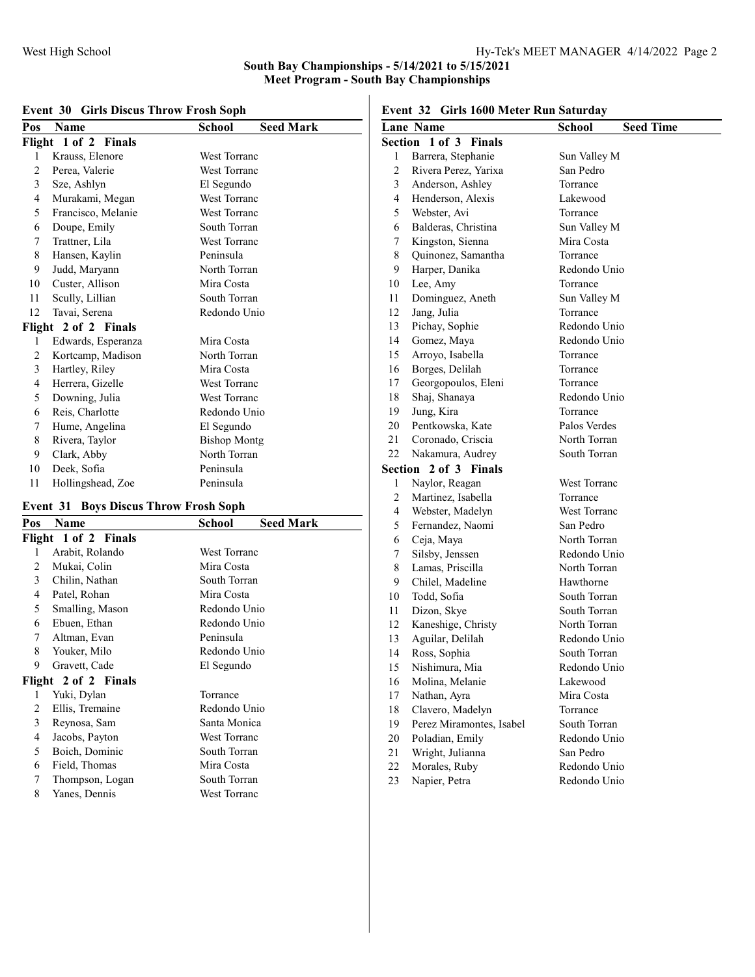| Pos    | Name                 | <b>Seed Mark</b><br>School |
|--------|----------------------|----------------------------|
|        | Flight 1 of 2 Finals |                            |
| 1      | Krauss, Elenore      | West Torranc               |
| 2      | Perea, Valerie       | <b>West Torranc</b>        |
| 3      | Sze, Ashlyn          | El Segundo                 |
| 4      | Murakami, Megan      | <b>West Torranc</b>        |
| 5      | Francisco, Melanie   | <b>West Torranc</b>        |
| 6      | Doupe, Emily         | South Torran               |
| 7      | Trattner, Lila       | <b>West Torranc</b>        |
| 8      | Hansen, Kaylin       | Peninsula                  |
| 9      | Judd, Maryann        | North Torran               |
| 10     | Custer, Allison      | Mira Costa                 |
| 11     | Scully, Lillian      | South Torran               |
| 12     | Tavai, Serena        | Redondo Unio               |
| Flight | 2 of 2 Finals        |                            |
| 1      | Edwards, Esperanza   | Mira Costa                 |
| 2      | Kortcamp, Madison    | North Torran               |
| 3      | Hartley, Riley       | Mira Costa                 |
| 4      | Herrera, Gizelle     | <b>West Torranc</b>        |
| 5      | Downing, Julia       | West Torranc               |
| 6      | Reis, Charlotte      | Redondo Unio               |
| 7      | Hume, Angelina       | El Segundo                 |
| 8      | Rivera, Taylor       | <b>Bishop Montg</b>        |
| 9      | Clark, Abby          | North Torran               |
| 10     | Deek, Sofia          | Peninsula                  |
| 11     | Hollingshead, Zoe    | Peninsula                  |

### Event 30 Girls Discus Throw Frosh Soph

### Event 31 Boys Discus Throw Frosh Soph

| Pos | Name                 | <b>Seed Mark</b><br>School |
|-----|----------------------|----------------------------|
|     | Flight 1 of 2 Finals |                            |
| 1   | Arabit, Rolando      | West Torranc               |
| 2   | Mukai, Colin         | Mira Costa                 |
| 3   | Chilin, Nathan       | South Torran               |
| 4   | Patel, Rohan         | Mira Costa                 |
| 5   | Smalling, Mason      | Redondo Unio               |
| 6   | Ebuen, Ethan         | Redondo Unio               |
| 7   | Altman, Evan         | Peninsula                  |
| 8   | Youker, Milo         | Redondo Unio               |
| 9   | Gravett, Cade        | El Segundo                 |
|     | Flight 2 of 2 Finals |                            |
| 1   | Yuki, Dylan          | Torrance                   |
| 2   | Ellis, Tremaine      | Redondo Unio               |
| 3   | Reynosa, Sam         | Santa Monica               |
| 4   | Jacobs, Payton       | <b>West Torranc</b>        |
| 5   | Boich, Dominic       | South Torran               |
| 6   | Field, Thomas        | Mira Costa                 |
| 7   | Thompson, Logan      | South Torran               |
| 8   | Yanes, Dennis        | West Torranc               |
|     |                      |                            |

Event 32 Girls 1600 Meter Run Saturday

|                | Shis 1999 Meter Run Satur aa j<br><b>Lane Name</b> |                            |
|----------------|----------------------------------------------------|----------------------------|
|                | Section 1 of 3 Finals                              | <b>Seed Time</b><br>School |
| 1              | Barrera, Stephanie                                 | Sun Valley M               |
| $\overline{c}$ | Rivera Perez, Yarixa                               | San Pedro                  |
| 3              | Anderson, Ashley                                   | Torrance                   |
| 4              | Henderson, Alexis                                  | Lakewood                   |
| 5              | Webster, Avi                                       | Torrance                   |
| 6              | Balderas, Christina                                | Sun Valley M               |
| 7              | Kingston, Sienna                                   | Mira Costa                 |
| 8              | Quinonez, Samantha                                 | Torrance                   |
| 9              | Harper, Danika                                     | Redondo Unio               |
| 10             | Lee, Amy                                           | Torrance                   |
| 11             | Dominguez, Aneth                                   | Sun Valley M               |
| 12             | Jang, Julia                                        | Torrance                   |
| 13             | Pichay, Sophie                                     | Redondo Unio               |
| 14             | Gomez, Maya                                        | Redondo Unio               |
| 15             | Arroyo, Isabella                                   | Torrance                   |
| 16             | Borges, Delilah                                    | Torrance                   |
| 17             | Georgopoulos, Eleni                                | Torrance                   |
| 18             | Shaj, Shanaya                                      | Redondo Unio               |
| 19             | Jung, Kira                                         | Torrance                   |
| 20             | Pentkowska, Kate                                   | Palos Verdes               |
| 21             | Coronado, Criscia                                  | North Torran               |
| 22             | Nakamura, Audrey                                   | South Torran               |
| Section        | 2 of 3 Finals                                      |                            |
| 1              | Naylor, Reagan                                     | West Torranc               |
| 2              | Martinez, Isabella                                 | Torrance                   |
| 4              | Webster, Madelyn                                   | West Torranc               |
| 5              | Fernandez, Naomi                                   | San Pedro                  |
| 6              | Ceja, Maya                                         | North Torran               |
| 7              | Silsby, Jenssen                                    | Redondo Unio               |
| 8              | Lamas, Priscilla                                   | North Torran               |
| 9              | Chilel, Madeline                                   | Hawthorne                  |
| 10             | Todd, Sofia                                        | South Torran               |
| 11             | Dizon, Skye                                        | South Torran               |
| 12             | Kaneshige, Christy                                 | North Torran               |
| 13             | Aguilar, Delilah                                   | Redondo Unio               |
| 14             | Ross, Sophia                                       | South Torran               |
| 15             | Nishimura, Mia                                     | Redondo Unio               |
| 16             | Molina, Melanie                                    | Lakewood                   |
| 17             | Nathan, Ayra                                       | Mira Costa                 |
| 18             | Clavero, Madelyn                                   | Torrance                   |
| 19             | Perez Miramontes, Isabel                           | South Torran               |
| 20<br>21       | Poladian, Emily                                    | Redondo Unio<br>San Pedro  |
| 22             | Wright, Julianna<br>Morales, Ruby                  | Redondo Unio               |
| 23             | Napier, Petra                                      | Redondo Unio               |
|                |                                                    |                            |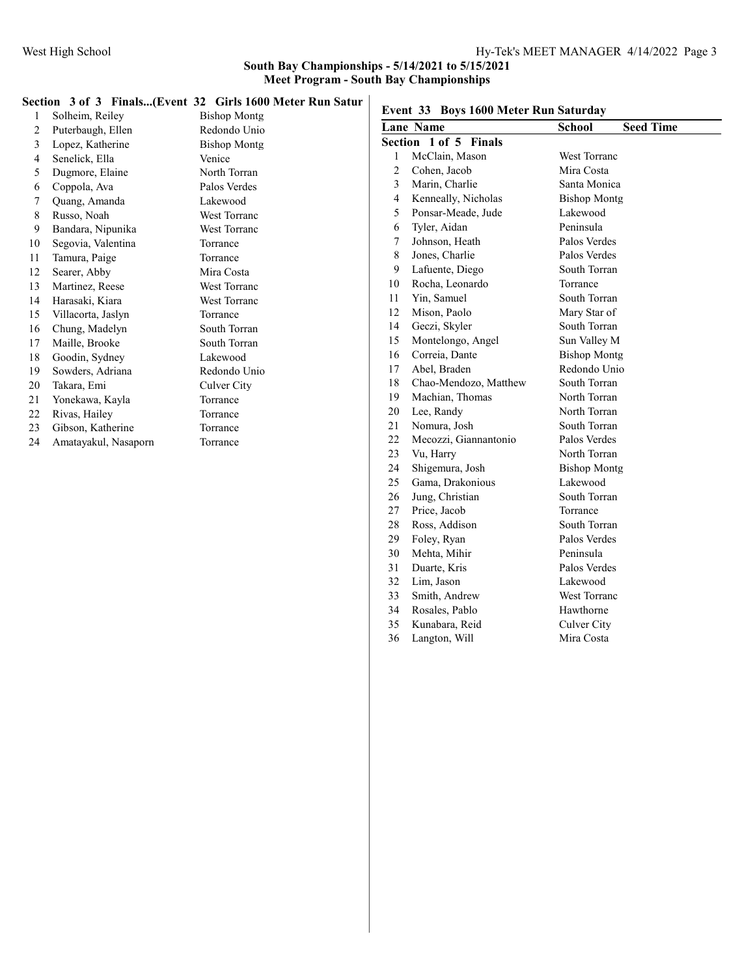### Section 3 of 3 Finals...(Event 32 Girls 1600 Meter Run Satur

| 1              | Solheim, Reiley      | <b>Bishop Montg</b> |
|----------------|----------------------|---------------------|
| 2              | Puterbaugh, Ellen    | Redondo Unio        |
| $\mathfrak{Z}$ | Lopez, Katherine     | <b>Bishop Montg</b> |
| 4              | Senelick, Ella       | Venice              |
| 5              | Dugmore, Elaine      | North Torran        |
| 6              | Coppola, Ava         | Palos Verdes        |
| 7              | Quang, Amanda        | Lakewood            |
| 8              | Russo, Noah          | <b>West Torranc</b> |
| 9              | Bandara, Nipunika    | <b>West Torranc</b> |
| 10             | Segovia, Valentina   | Torrance            |
| 11             | Tamura, Paige        | Torrance            |
| 12             | Searer, Abby         | Mira Costa          |
| 13             | Martinez, Reese      | <b>West Torranc</b> |
| 14             | Harasaki, Kiara      | <b>West Torranc</b> |
| 15             | Villacorta, Jaslyn   | Torrance            |
| 16             | Chung, Madelyn       | South Torran        |
| 17             | Maille, Brooke       | South Torran        |
| 18             | Goodin, Sydney       | Lakewood            |
| 19             | Sowders, Adriana     | Redondo Unio        |
| 20             | Takara, Emi          | Culver City         |
| 21             | Yonekawa, Kayla      | Torrance            |
| 22             | Rivas, Hailey        | Torrance            |
| 23             | Gibson, Katherine    | Torrance            |
| 24             | Amatayakul, Nasaporn | Torrance            |
|                |                      |                     |

| Event 33 Boys 1600 Meter Run Saturday |                       |                                   |  |
|---------------------------------------|-----------------------|-----------------------------------|--|
|                                       | <b>Lane Name</b>      | <b>Seed Time</b><br><b>School</b> |  |
|                                       | Section 1 of 5 Finals |                                   |  |
| 1                                     | McClain, Mason        | <b>West Torranc</b>               |  |
| $\overline{c}$                        | Cohen, Jacob          | Mira Costa                        |  |
| 3                                     | Marin, Charlie        | Santa Monica                      |  |
| 4                                     | Kenneally, Nicholas   | <b>Bishop Montg</b>               |  |
| 5                                     | Ponsar-Meade, Jude    | Lakewood                          |  |
| 6                                     | Tyler, Aidan          | Peninsula                         |  |
| 7                                     | Johnson, Heath        | Palos Verdes                      |  |
| 8                                     | Jones, Charlie        | Palos Verdes                      |  |
| 9                                     | Lafuente, Diego       | South Torran                      |  |
| 10                                    | Rocha, Leonardo       | Torrance                          |  |
| 11                                    | Yin, Samuel           | South Torran                      |  |
| 12                                    | Mison, Paolo          | Mary Star of                      |  |
| 14                                    | Geczi, Skyler         | South Torran                      |  |
| 15                                    | Montelongo, Angel     | Sun Valley M                      |  |
| 16                                    | Correia, Dante        | <b>Bishop Montg</b>               |  |
| 17                                    | Abel, Braden          | Redondo Unio                      |  |
| 18                                    | Chao-Mendozo, Matthew | South Torran                      |  |
| 19                                    | Machian, Thomas       | North Torran                      |  |
| 20                                    | Lee, Randy            | North Torran                      |  |
| 21                                    | Nomura, Josh          | South Torran                      |  |
| 22                                    | Mecozzi, Giannantonio | Palos Verdes                      |  |
| 23                                    | Vu, Harry             | North Torran                      |  |
| 24                                    | Shigemura, Josh       | <b>Bishop Montg</b>               |  |
| 25                                    | Gama, Drakonious      | Lakewood                          |  |
| 26                                    | Jung, Christian       | South Torran                      |  |
| 27                                    | Price, Jacob          | Torrance                          |  |
| 28                                    | Ross, Addison         | South Torran                      |  |
| 29                                    | Foley, Ryan           | Palos Verdes                      |  |
| 30                                    | Mehta, Mihir          | Peninsula                         |  |
| 31                                    | Duarte, Kris          | Palos Verdes                      |  |
| 32                                    | Lim, Jason            | Lakewood                          |  |
| 33                                    | Smith, Andrew         | West Torranc                      |  |
| 34                                    | Rosales, Pablo        | Hawthorne                         |  |
| 35                                    | Kunabara, Reid        | Culver City                       |  |
| 36                                    | Langton, Will         | Mira Costa                        |  |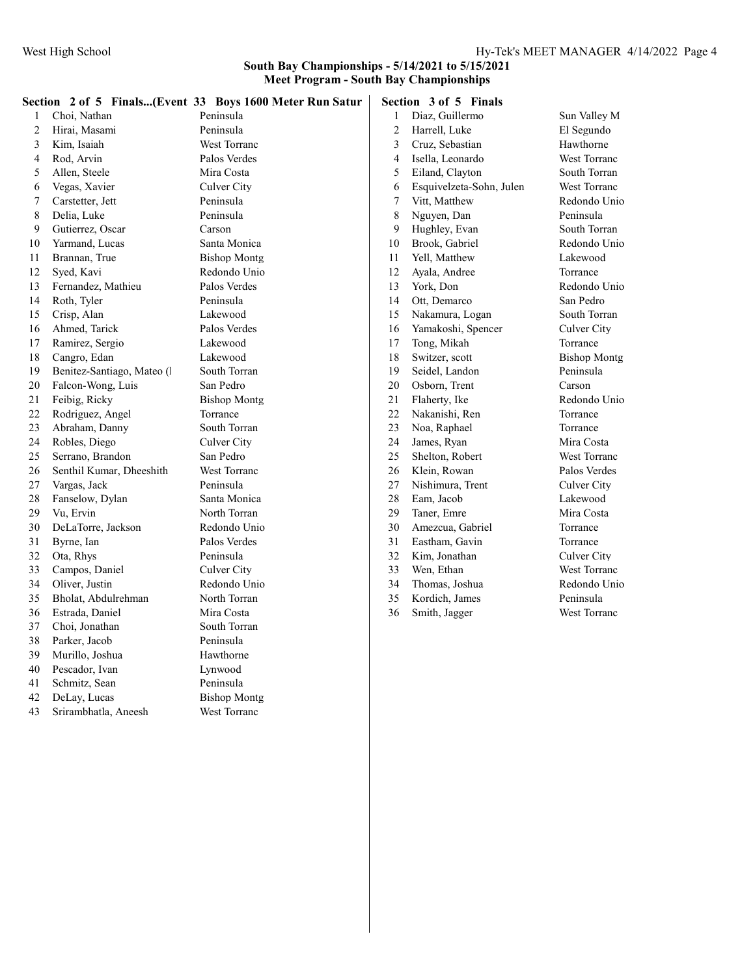|                |                            | Section 2 of 5 Finals(Event 33 Boys 1600 Meter Run Satur |        | Section 3 of 5 Finals    |                     |
|----------------|----------------------------|----------------------------------------------------------|--------|--------------------------|---------------------|
| 1              | Choi, Nathan               | Peninsula                                                | 1      | Diaz, Guillermo          | Sun Valley M        |
| $\overline{c}$ | Hirai, Masami              | Peninsula                                                | 2      | Harrell, Luke            | El Segundo          |
| 3              | Kim, Isaiah                | West Torranc                                             | 3      | Cruz, Sebastian          | Hawthorne           |
| 4              | Rod, Arvin                 | Palos Verdes                                             | 4      | Isella, Leonardo         | West Torranc        |
| 5              | Allen, Steele              | Mira Costa                                               | 5      | Eiland, Clayton          | South Torran        |
| 6              | Vegas, Xavier              | Culver City                                              | 6      | Esquivelzeta-Sohn, Julen | West Torranc        |
| 7              | Carstetter, Jett           | Peninsula                                                | $\tau$ | Vitt, Matthew            | Redondo Unio        |
| 8              | Delia, Luke                | Peninsula                                                | 8      | Nguyen, Dan              | Peninsula           |
| 9              | Gutierrez, Oscar           | Carson                                                   | 9      | Hughley, Evan            | South Torran        |
| 10             | Yarmand, Lucas             | Santa Monica                                             | 10     | Brook, Gabriel           | Redondo Unio        |
| 11             | Brannan, True              | <b>Bishop Montg</b>                                      | 11     | Yell, Matthew            | Lakewood            |
| 12             | Syed, Kavi                 | Redondo Unio                                             | 12     | Ayala, Andree            | Torrance            |
| 13             | Fernandez, Mathieu         | Palos Verdes                                             | 13     | York, Don                | Redondo Unio        |
| 14             | Roth, Tyler                | Peninsula                                                | 14     | Ott, Demarco             | San Pedro           |
| 15             | Crisp, Alan                | Lakewood                                                 | 15     | Nakamura, Logan          | South Torran        |
| 16             | Ahmed, Tarick              | Palos Verdes                                             | 16     | Yamakoshi, Spencer       | Culver City         |
| 17             | Ramirez, Sergio            | Lakewood                                                 | 17     | Tong, Mikah              | Torrance            |
| 18             | Cangro, Edan               | Lakewood                                                 | 18     | Switzer, scott           | <b>Bishop Montg</b> |
| 19             | Benitez-Santiago, Mateo (l | South Torran                                             | 19     | Seidel, Landon           | Peninsula           |
| $20\,$         | Falcon-Wong, Luis          | San Pedro                                                | 20     | Osborn, Trent            | Carson              |
| 21             | Feibig, Ricky              | <b>Bishop Montg</b>                                      | 21     | Flaherty, Ike            | Redondo Unio        |
| 22             | Rodriguez, Angel           | Torrance                                                 | 22     | Nakanishi, Ren           | Torrance            |
| 23             | Abraham, Danny             | South Torran                                             | 23     | Noa, Raphael             | Torrance            |
| 24             | Robles, Diego              | Culver City                                              | 24     | James, Ryan              | Mira Costa          |
| 25             | Serrano, Brandon           | San Pedro                                                | 25     | Shelton, Robert          | West Torranc        |
| 26             | Senthil Kumar, Dheeshith   | West Torranc                                             | 26     | Klein, Rowan             | Palos Verdes        |
| 27             | Vargas, Jack               | Peninsula                                                | 27     | Nishimura, Trent         | Culver City         |
| 28             | Fanselow, Dylan            | Santa Monica                                             | 28     | Eam, Jacob               | Lakewood            |
| 29             | Vu, Ervin                  | North Torran                                             | 29     | Taner, Emre              | Mira Costa          |
| 30             | DeLaTorre, Jackson         | Redondo Unio                                             | 30     | Amezcua, Gabriel         | Torrance            |
| 31             | Byrne, Ian                 | Palos Verdes                                             | 31     | Eastham, Gavin           | Torrance            |
| 32             | Ota, Rhys                  | Peninsula                                                | 32     | Kim, Jonathan            | Culver City         |
| 33             | Campos, Daniel             | Culver City                                              | 33     | Wen, Ethan               | West Torranc        |
| 34             | Oliver, Justin             | Redondo Unio                                             | 34     | Thomas, Joshua           | Redondo Unio        |
| 35             | Bholat, Abdulrehman        | North Torran                                             | 35     | Kordich, James           | Peninsula           |
| 36             | Estrada, Daniel            | Mira Costa                                               | 36     | Smith, Jagger            | West Torranc        |
| 37             | Choi, Jonathan             | South Torran                                             |        |                          |                     |
| 38             | Parker, Jacob              | Peninsula                                                |        |                          |                     |
| 39             | Murillo, Joshua            | Hawthorne                                                |        |                          |                     |
| 40             | Pescador, Ivan             | Lynwood                                                  |        |                          |                     |
| 41             | Schmitz, Sean              | Peninsula                                                |        |                          |                     |
| 42             | DeLay, Lucas               | <b>Bishop Montg</b>                                      |        |                          |                     |
| 43             | Srirambhatla, Aneesh       | West Torranc                                             |        |                          |                     |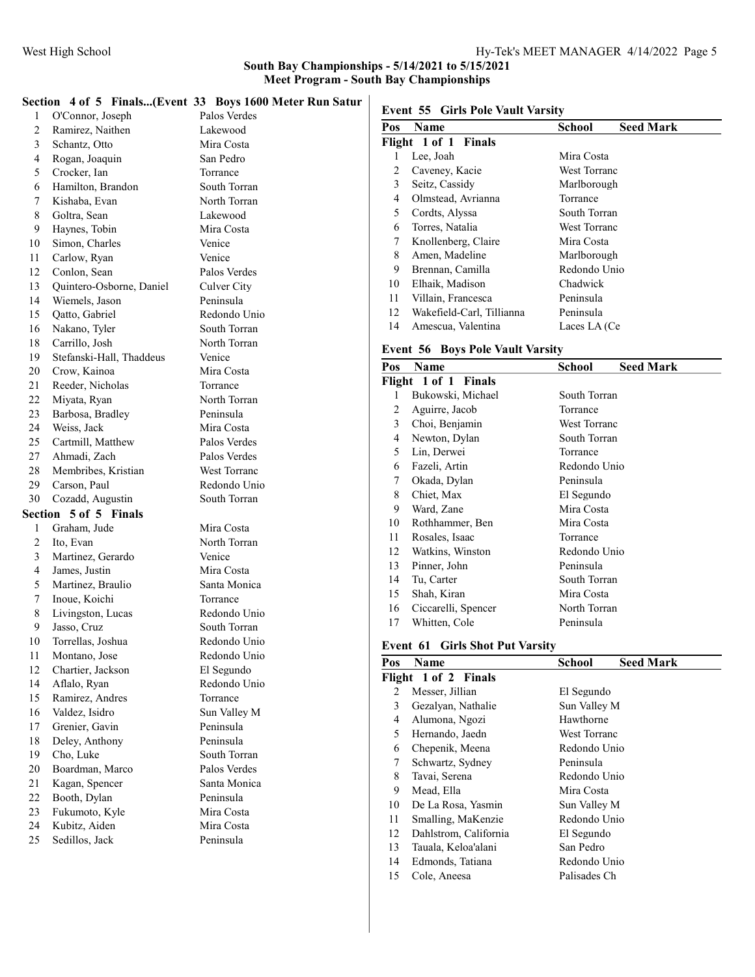## Section 4 of 5 Finals...(Event 33 Boys 1600 Meter Run Satur

|              | $\sim$ 0. $\sim$ 1 mansion $\sim$  | <b>DOVE TOOD THEIR</b> |
|--------------|------------------------------------|------------------------|
| 1            | O'Connor, Joseph                   | Palos Verdes           |
| 2            | Ramirez, Naithen                   | Lakewood               |
| 3            | Schantz, Otto                      | Mira Costa             |
| 4            | Rogan, Joaquin                     | San Pedro              |
| 5            | Crocker, Ian                       | Torrance               |
| 6            | Hamilton, Brandon                  | South Torran           |
| 7            | Kishaba, Evan                      | North Torran           |
| 8            | Goltra, Sean                       | Lakewood               |
| 9            | Haynes, Tobin                      | Mira Costa             |
| 10           | Simon, Charles                     | Venice                 |
| 11           | Carlow, Ryan                       | Venice                 |
| 12           | Conlon, Sean                       | Palos Verdes           |
| 13           | Quintero-Osborne, Daniel           | Culver City            |
| 14           | Wiemels, Jason                     | Peninsula              |
| 15           | Qatto, Gabriel                     | Redondo Unio           |
| 16           | Nakano, Tyler                      | South Torran           |
| 18           | Carrillo, Josh                     | North Torran           |
| 19           | Stefanski-Hall, Thaddeus           | Venice                 |
| 20           | Crow, Kainoa                       | Mira Costa             |
| 21           | Reeder, Nicholas                   | Torrance               |
| 22           | Miyata, Ryan                       | North Torran           |
| 23           | Barbosa, Bradley                   | Peninsula              |
| 24           | Weiss, Jack                        | Mira Costa             |
| 25           | Cartmill, Matthew                  | Palos Verdes           |
| 27           | Ahmadi, Zach                       | Palos Verdes           |
| 28           | Membribes, Kristian                | West Torranc           |
|              |                                    |                        |
| 29           |                                    | Redondo Unio           |
| 30           | Carson, Paul                       | South Torran           |
|              | Cozadd, Augustin                   |                        |
| Section<br>1 | 5 of 5 Finals                      | Mira Costa             |
| 2            | Graham, Jude<br>Ito, Evan          | North Torran           |
| 3            |                                    | Venice                 |
| 4            | Martinez, Gerardo                  | Mira Costa             |
| 5            | James, Justin                      | Santa Monica           |
| 7            | Martinez, Braulio                  | Torrance               |
| 8            | Inoue, Koichi<br>Livingston, Lucas | Redondo Unio           |
| 9            | Jasso, Cruz                        | South Torran           |
| 10           | Torrellas, Joshua                  | Redondo Unio           |
| 11           | Montano, Jose                      | Redondo Unio           |
| 12           | Chartier, Jackson                  | El Segundo             |
| 14           | Aflalo, Ryan                       | Redondo Unio           |
| 15           | Ramirez, Andres                    | Torrance               |
| 16           | Valdez, Isidro                     | Sun Valley M           |
| 17           | Grenier, Gavin                     | Peninsula              |
| 18           | Deley, Anthony                     | Peninsula              |
| 19           | Cho, Luke                          | South Torran           |
| 20           | Boardman, Marco                    | Palos Verdes           |
| 21           | Kagan, Spencer                     | Santa Monica           |
| 22           | Booth, Dylan                       | Peninsula              |
| 23           | Fukumoto, Kyle                     | Mira Costa             |
| 24           | Kubitz, Aiden                      | Mira Costa             |
| 25           | Sedillos, Jack                     | Peninsula              |

### Event 55 Girls Pole Vault Varsity

| Pos | Name                      | <b>Seed Mark</b><br>School |
|-----|---------------------------|----------------------------|
|     | Flight 1 of 1 Finals      |                            |
|     | Lee, Joah                 | Mira Costa                 |
| 2   | Caveney, Kacie            | West Torranc               |
| 3   | Seitz, Cassidy            | Marlborough                |
| 4   | Olmstead, Avrianna        | Torrance                   |
| 5   | Cordts, Alyssa            | South Torran               |
| 6   | Torres, Natalia           | West Torranc               |
| 7   | Knollenberg, Claire       | Mira Costa                 |
| 8   | Amen, Madeline            | Marlborough                |
| 9   | Brennan, Camilla          | Redondo Unio               |
| 10  | Elhaik, Madison           | Chadwick                   |
| 11  | Villain, Francesca        | Peninsula                  |
| 12  | Wakefield-Carl, Tillianna | Peninsula                  |
| 14  | Amescua, Valentina        | Laces LA (Ce               |

### Event 56 Boys Pole Vault Varsity

| Pos | Name                 | <b>School</b>       | <b>Seed Mark</b> |
|-----|----------------------|---------------------|------------------|
|     | Flight 1 of 1 Finals |                     |                  |
| 1   | Bukowski, Michael    | South Torran        |                  |
| 2   | Aguirre, Jacob       | Torrance            |                  |
| 3   | Choi, Benjamin       | <b>West Torranc</b> |                  |
| 4   | Newton, Dylan        | South Torran        |                  |
| 5   | Lin, Derwei          | Torrance            |                  |
| 6   | Fazeli, Artin        | Redondo Unio        |                  |
| 7   | Okada, Dylan         | Peninsula           |                  |
| 8   | Chiet, Max           | El Segundo          |                  |
| 9   | Ward, Zane           | Mira Costa          |                  |
| 10  | Rothhammer, Ben      | Mira Costa          |                  |
| 11  | Rosales, Isaac       | Torrance            |                  |
| 12  | Watkins, Winston     | Redondo Unio        |                  |
| 13  | Pinner, John         | Peninsula           |                  |
| 14  | Tu, Carter           | South Torran        |                  |
| 15  | Shah, Kiran          | Mira Costa          |                  |
| 16  | Ciccarelli, Spencer  | North Torran        |                  |
| 17  | Whitten, Cole        | Peninsula           |                  |

### Event 61 Girls Shot Put Varsity

| Name                  | <b>Seed Mark</b><br>School |
|-----------------------|----------------------------|
|                       |                            |
| Messer, Jillian       | El Segundo                 |
| Gezalyan, Nathalie    | Sun Valley M               |
| Alumona, Ngozi        | Hawthorne                  |
| Hernando, Jaedn       | West Torranc               |
| Chepenik, Meena       | Redondo Unio               |
| Schwartz, Sydney      | Peninsula                  |
| Tavai, Serena         | Redondo Unio               |
| Mead, Ella            | Mira Costa                 |
| De La Rosa, Yasmin    | Sun Valley M               |
| Smalling, MaKenzie    | Redondo Unio               |
| Dahlstrom, California | El Segundo                 |
| Tauala, Keloa'alani   | San Pedro                  |
| Edmonds, Tatiana      | Redondo Unio               |
| Cole, Aneesa          | Palisades Ch               |
|                       | Flight 1 of 2 Finals       |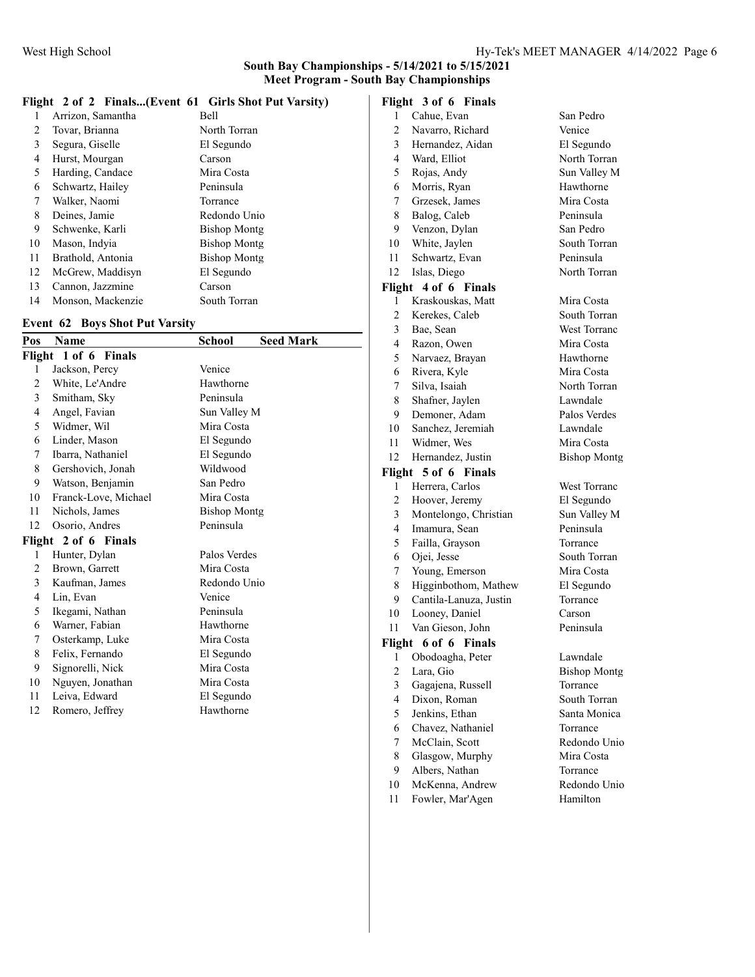### Flight 2 of 2 Finals...(Event 61 Girls Shot Put Varsity)

|    | Arrizon, Samantha | <b>Bell</b>         |
|----|-------------------|---------------------|
| 2  | Tovar, Brianna    | North Torran        |
| 3  | Segura, Giselle   | El Segundo          |
| 4  | Hurst, Mourgan    | Carson              |
| 5  | Harding, Candace  | Mira Costa          |
| 6  | Schwartz, Hailey  | Peninsula           |
| 7  | Walker, Naomi     | Torrance            |
| 8  | Deines, Jamie     | Redondo Unio        |
| 9  | Schwenke, Karli   | <b>Bishop Montg</b> |
| 10 | Mason, Indvia     | <b>Bishop Montg</b> |
| 11 | Brathold, Antonia | <b>Bishop Montg</b> |
| 12 | McGrew, Maddisyn  | El Segundo          |
| 13 | Cannon, Jazzmine  | Carson              |
| 14 | Monson, Mackenzie | South Torran        |

### Event 62 Boys Shot Put Varsity

| Pos                  | Name                 | <b>School</b><br><b>Seed Mark</b> |  |
|----------------------|----------------------|-----------------------------------|--|
| Flight 1 of 6 Finals |                      |                                   |  |
| 1                    | Jackson, Percy       | Venice                            |  |
| 2                    | White, Le'Andre      | Hawthorne                         |  |
| 3                    | Smitham, Sky         | Peninsula                         |  |
| 4                    | Angel, Favian        | Sun Valley M                      |  |
| 5                    | Widmer, Wil          | Mira Costa                        |  |
| 6                    | Linder, Mason        | El Segundo                        |  |
| 7                    | Ibarra, Nathaniel    | El Segundo                        |  |
| 8                    | Gershovich, Jonah    | Wildwood                          |  |
| 9                    | Watson, Benjamin     | San Pedro                         |  |
| 10                   | Franck-Love, Michael | Mira Costa                        |  |
| 11                   | Nichols, James       | <b>Bishop Montg</b>               |  |
| 12                   | Osorio, Andres       | Peninsula                         |  |
| Flight 2 of 6 Finals |                      |                                   |  |
| 1                    | Hunter, Dylan        | Palos Verdes                      |  |
| 2                    | Brown, Garrett       | Mira Costa                        |  |
| 3                    | Kaufman, James       | Redondo Unio                      |  |
| 4                    | Lin, Evan            | Venice                            |  |
| 5                    | Ikegami, Nathan      | Peninsula                         |  |
| 6                    | Warner, Fabian       | Hawthorne                         |  |
| 7                    | Osterkamp, Luke      | Mira Costa                        |  |
| 8                    | Felix, Fernando      | El Segundo                        |  |
| 9                    | Signorelli, Nick     | Mira Costa                        |  |
| 10                   | Nguyen, Jonathan     | Mira Costa                        |  |
| 11                   | Leiva, Edward        | El Segundo                        |  |
| 12                   | Romero, Jeffrey      | Hawthorne                         |  |

# Flight 3 of 6 Finals

| 1                       | Cahue, Evan             | San Pedro           |
|-------------------------|-------------------------|---------------------|
| $\overline{2}$          | Navarro, Richard        | Venice              |
| 3                       | Hernandez, Aidan        | El Segundo          |
| 4                       | Ward, Elliot            | North Torran        |
| 5                       | Rojas, Andy             | Sun Valley M        |
| 6                       | Morris, Ryan            | Hawthorne           |
| 7                       | Grzesek, James          | Mira Costa          |
| 8                       | Balog, Caleb            | Peninsula           |
| 9                       | Venzon, Dylan           | San Pedro           |
| 10                      | White, Jaylen           | South Torran        |
| 11                      | Schwartz, Evan          | Peninsula           |
| 12                      | Islas, Diego            | North Torran        |
| Flight                  | 4 of 6 Finals           |                     |
| 1                       | Kraskouskas, Matt       | Mira Costa          |
| $\overline{c}$          | Kerekes, Caleb          | South Torran        |
| 3                       | Bae, Sean               | <b>West Torranc</b> |
| 4                       | Razon, Owen             | Mira Costa          |
| 5                       | Narvaez, Brayan         | Hawthorne           |
| 6                       | Rivera, Kyle            | Mira Costa          |
| 7                       | Silva, Isaiah           | North Torran        |
| 8                       | Shafner, Jaylen         | Lawndale            |
| 9                       | Demoner, Adam           | Palos Verdes        |
| 10                      | Sanchez, Jeremiah       | Lawndale            |
| 11                      | Widmer, Wes             | Mira Costa          |
| 12                      | Hernandez, Justin       | <b>Bishop Montg</b> |
| Flight                  | 5 of 6 Finals           |                     |
| 1                       | Herrera, Carlos         | <b>West Torranc</b> |
| $\overline{2}$          | Hoover, Jeremy          | El Segundo          |
| $\overline{3}$          | Montelongo, Christian   | Sun Valley M        |
| 4                       | Imamura, Sean           | Peninsula           |
| 5                       | Failla, Grayson         | Torrance            |
| 6                       | Ojei, Jesse             | South Torran        |
| 7                       | Young, Emerson          | Mira Costa          |
| 8                       | Higginbothom, Mathew    | El Segundo          |
| 9                       | Cantila-Lanuza, Justin  | Torrance            |
| 10                      | Looney, Daniel          | Carson              |
| 11                      | Van Gieson, John        | Peninsula           |
| Flight                  | 6 of 6<br><b>Finals</b> |                     |
| 1                       | Obodoagha, Peter        | Lawndale            |
| $\overline{\mathbf{c}}$ | Lara, Gio               | <b>Bishop Montg</b> |
| 3                       | Gagajena, Russell       | Torrance            |
| $\overline{4}$          | Dixon, Roman            | South Torran        |
| 5                       | Jenkins, Ethan          | Santa Monica        |
| 6                       | Chavez, Nathaniel       | Torrance            |
| 7                       | McClain, Scott          | Redondo Unio        |
| 8                       | Glasgow, Murphy         | Mira Costa          |
| 9                       | Albers, Nathan          | Torrance            |
| 10                      | McKenna, Andrew         | Redondo Unio        |

11 Fowler, Mar'Agen Hamilton